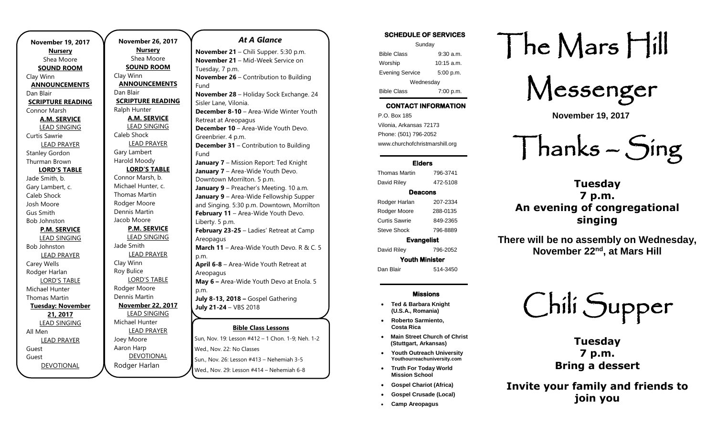**November 19, 2017 Nursery** Shea Moore **SOUND ROOM** Clay Winn **ANNOUNCEMENTS** Dan Blair **SCRIPTURE READING** Connor Marsh **A.M. SERVICE** LEAD SINGING Curtis Sawrie LEAD PRAYER Stanley Gordon Thurman Brown **LORD'S TABLE** Jade Smith, b. Gary Lambert, c. Caleb Shock Josh Moore Gus Smith Bob Johnston **P.M. SERVICE** LEAD SINGING Bob Johnston LEAD PRAYER Carey Wells Rodger Harlan LORD'S TABLE Michael Hunter Thomas Martin **Tuesday: November 21, 2017** LEAD SINGING All Men LEAD PRAYER Guest Guest **DEVOTIONAL** 

.

**November 26, 2017 Nursery** Shea Moore **SOUND ROOM** Clay Winn **ANNOUNCEMENTS** Dan Blair **SCRIPTURE READING** Ralph Hunter **A.M. SERVICE** LEAD SINGING Caleb Shock LEAD PRAYER Gary Lambert Harold Moody **LORD'S TABLE** Connor Marsh, b. Michael Hunter, c. Thomas Martin Rodger Moore Dennis Martin Jacob Moore **P.M. SERVICE** LEAD SINGING Jade Smith LEAD PRAYER Clay Winn Roy Bulice LORD'S TABLE Rodger Moore Dennis Martin **November 22, 2017** LEAD SINGING Michael Hunter LEAD PRAYER Joey Moore Aaron Harp DEVOTIONAL Rodger Harlan Tuesday, 7 p.m. Fund

#### Sun, Nov. 19: Lesson #412 – 1 Chon. 1-9; Neh. 1-2 Wed., Nov. 22: No Classes Sun., Nov. 26: Lesson #413 – Nehemiah 3-5 Wed., Nov. 29: Lesson #414 – Nehemiah 6-8 **November 28** – Holiday Sock Exchange. 24 Sisler Lane, Vilonia. **December 8-10** – Area-Wide Winter Youth Retreat at Areopagus **December 10** – Area-Wide Youth Devo. Greenbrier. 4 p.m. **December 31** – Contribution to Building Fund **January 7** – Mission Report: Ted Knight **January 7** – Area-Wide Youth Devo. Downtown Morrilton. 5 p.m. **January 9** – Preacher's Meeting. 10 a.m. **January 9** – Area-Wide Fellowship Supper and Singing. 5:30 p.m. Downtown, Morrilton **February 11 - Area-Wide Youth Devo.** Liberty. 5 p.m. **February 23-25** – Ladies' Retreat at Camp Areopagus **March 11** – Area-Wide Youth Devo. R & C. 5 p.m. **April 6-8** – Area-Wide Youth Retreat at Areopagus **May 6 –** Area-Wide Youth Devo at Enola. 5 p.m. **July 8-13, 2018 –** Gospel Gathering **July 21-24** – VBS 2018

# **Bible Class Lessons** *At A Glance*  **November 21** – Chili Supper. 5:30 p.m. **November 21 – Mid-Week Service on November 26** – Contribution to Building

#### SCHEDULE OF SERVICES Sunday Bible Class 9:30 a.m. Worship 10:15 a.m.

Evening Service 5:00 p.m. Wednesday

Bible Class 7:00 p.m.

# CONTACT INFORMATION

. .o. Box 166<br>Vilonia, Arkansas 72173 P.O. Box 185 Phone: (501) 796-2052 www.churchofchristmarshill.org

#### Elders

Thomas Martin 796-3741 David Riley 472-5108

### Deacons

Rodger Harlan 207-2334 Rodger Moore 288-0135 Curtis Sawrie 849-2365 Steve Shock 796-8889 Evangelist

David Riley 796-2052

Youth Minister Dan Blair 514-3450

#### Missions

- **Ted & Barbara Knight (U.S.A., Romania)**
- **Roberto Sarmiento, Costa Rica**
- **Main Street Church of Christ (Stuttgart, Arkansas)**
- **Youth Outreach University Youthourreachuniversity.com**
- **Truth For Today World Mission School**
- **Gospel Chariot (Africa)** • **Gospel Crusade (Local)**
- **Camp Areopagus**

# The Mars Hill

Messenger

**November 19, 2017**

Thanks – Sing

**Tuesday 7 p.m. An evening of congregational singing**

**There will be no assembly on Wednesday, November 22nd, at Mars Hill**



**Tuesday 7 p.m. Bring a dessert**

**Invite your family and friends to join you**